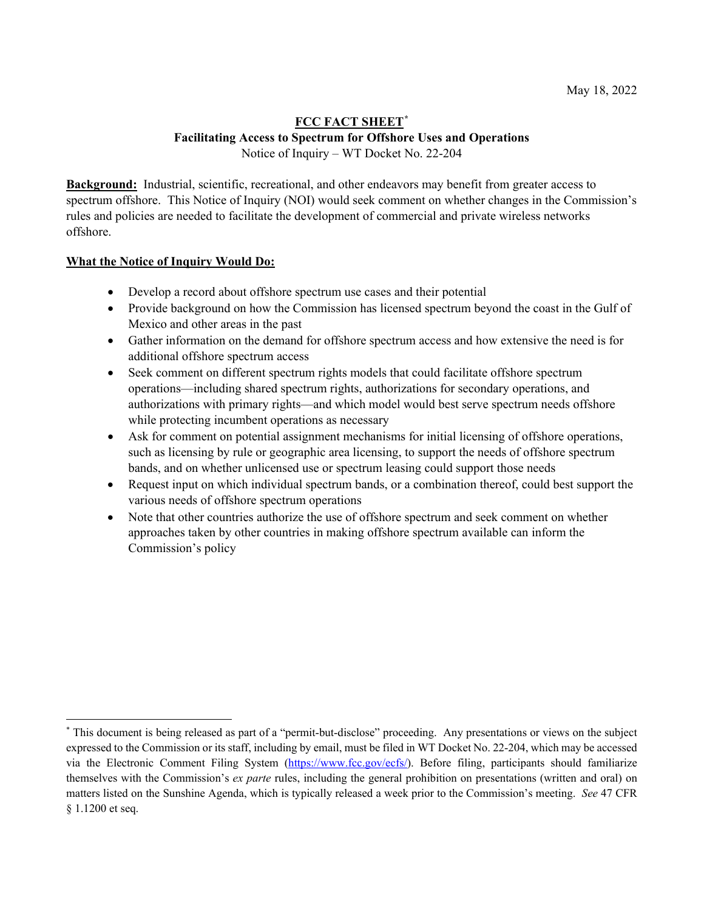## **FCC FACT SHEET[\\*](#page-0-0) Facilitating Access to Spectrum for Offshore Uses and Operations** Notice of Inquiry – WT Docket No. 22-204

**Background:** Industrial, scientific, recreational, and other endeavors may benefit from greater access to spectrum offshore. This Notice of Inquiry (NOI) would seek comment on whether changes in the Commission's rules and policies are needed to facilitate the development of commercial and private wireless networks offshore.

# **What the Notice of Inquiry Would Do:**

- Develop a record about offshore spectrum use cases and their potential
- Provide background on how the Commission has licensed spectrum beyond the coast in the Gulf of Mexico and other areas in the past
- Gather information on the demand for offshore spectrum access and how extensive the need is for additional offshore spectrum access
- Seek comment on different spectrum rights models that could facilitate offshore spectrum operations—including shared spectrum rights, authorizations for secondary operations, and authorizations with primary rights—and which model would best serve spectrum needs offshore while protecting incumbent operations as necessary
- Ask for comment on potential assignment mechanisms for initial licensing of offshore operations, such as licensing by rule or geographic area licensing, to support the needs of offshore spectrum bands, and on whether unlicensed use or spectrum leasing could support those needs
- Request input on which individual spectrum bands, or a combination thereof, could best support the various needs of offshore spectrum operations
- Note that other countries authorize the use of offshore spectrum and seek comment on whether approaches taken by other countries in making offshore spectrum available can inform the Commission's policy

<span id="page-0-0"></span><sup>\*</sup> This document is being released as part of a "permit-but-disclose" proceeding. Any presentations or views on the subject expressed to the Commission or its staff, including by email, must be filed in WT Docket No. 22-204, which may be accessed via the Electronic Comment Filing System [\(https://www.fcc.gov/ecfs/\)](https://www.fcc.gov/ecfs/). Before filing, participants should familiarize themselves with the Commission's *ex parte* rules, including the general prohibition on presentations (written and oral) on matters listed on the Sunshine Agenda, which is typically released a week prior to the Commission's meeting. *See* 47 CFR § 1.1200 et seq.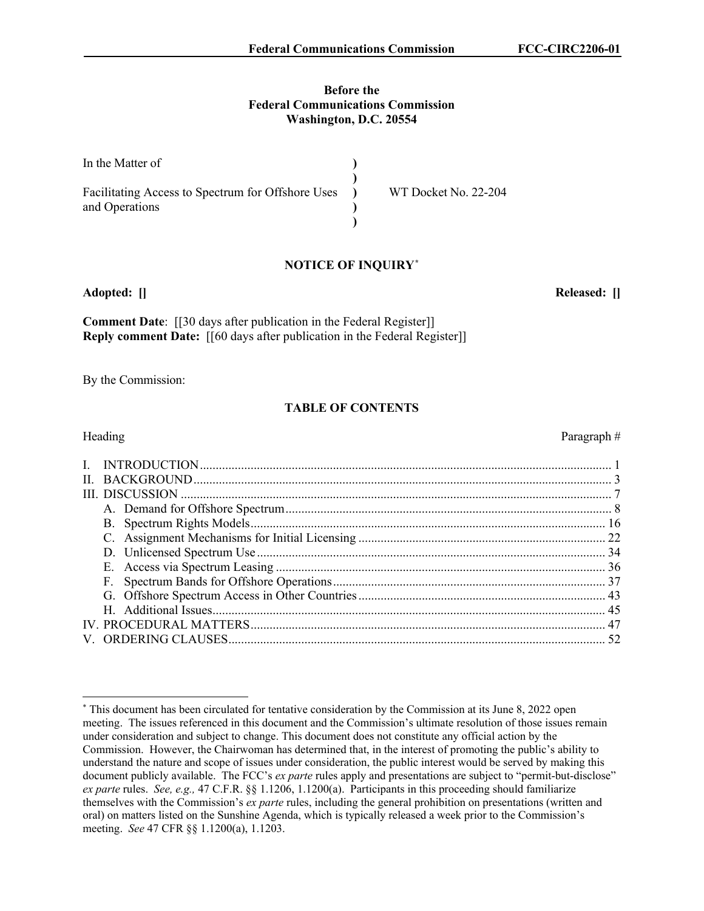#### **Before the Federal Communications Commission Washington, D.C. 20554**

| In the Matter of                                  |                      |
|---------------------------------------------------|----------------------|
| Facilitating Access to Spectrum for Offshore Uses | WT Docket No. 22-204 |
| and Operations                                    |                      |
|                                                   |                      |

### **NOTICE OF INQUIRY[\\*](#page-1-0)**

**Adopted: [] Released: []**

**Comment Date**: [[30 days after publication in the Federal Register]] **Reply comment Date:** [[60 days after publication in the Federal Register]]

By the Commission:

## **TABLE OF CONTENTS**

|  | Heading | Paragraph# |
|--|---------|------------|
|  |         |            |
|  |         |            |
|  |         |            |
|  |         |            |
|  |         |            |
|  |         |            |
|  |         |            |
|  |         |            |
|  |         |            |
|  |         |            |
|  |         |            |
|  |         |            |
|  |         |            |
|  |         |            |

<span id="page-1-0"></span><sup>\*</sup> This document has been circulated for tentative consideration by the Commission at its June 8, 2022 open meeting. The issues referenced in this document and the Commission's ultimate resolution of those issues remain under consideration and subject to change. This document does not constitute any official action by the Commission. However, the Chairwoman has determined that, in the interest of promoting the public's ability to understand the nature and scope of issues under consideration, the public interest would be served by making this document publicly available. The FCC's *ex parte* rules apply and presentations are subject to "permit-but-disclose" *ex parte* rules. *See, e.g.,* 47 C.F.R. §§ 1.1206, 1.1200(a). Participants in this proceeding should familiarize themselves with the Commission's *ex parte* rules, including the general prohibition on presentations (written and oral) on matters listed on the Sunshine Agenda, which is typically released a week prior to the Commission's meeting. *See* 47 CFR §§ 1.1200(a), 1.1203.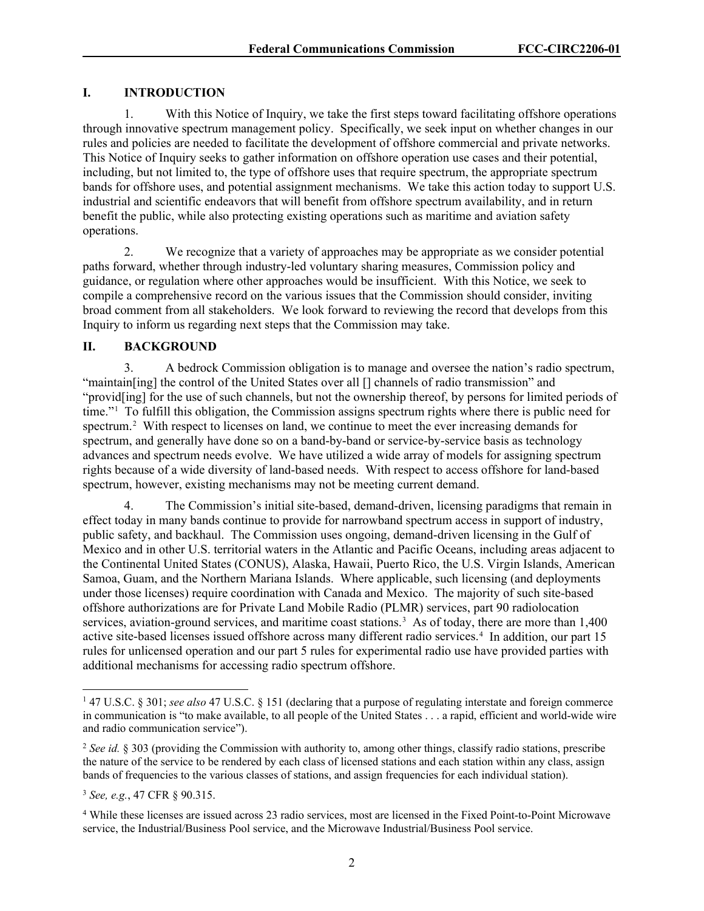### **I. INTRODUCTION**

1. With this Notice of Inquiry, we take the first steps toward facilitating offshore operations through innovative spectrum management policy. Specifically, we seek input on whether changes in our rules and policies are needed to facilitate the development of offshore commercial and private networks. This Notice of Inquiry seeks to gather information on offshore operation use cases and their potential, including, but not limited to, the type of offshore uses that require spectrum, the appropriate spectrum bands for offshore uses, and potential assignment mechanisms. We take this action today to support U.S. industrial and scientific endeavors that will benefit from offshore spectrum availability, and in return benefit the public, while also protecting existing operations such as maritime and aviation safety operations.

2. We recognize that a variety of approaches may be appropriate as we consider potential paths forward, whether through industry-led voluntary sharing measures, Commission policy and guidance, or regulation where other approaches would be insufficient. With this Notice, we seek to compile a comprehensive record on the various issues that the Commission should consider, inviting broad comment from all stakeholders. We look forward to reviewing the record that develops from this Inquiry to inform us regarding next steps that the Commission may take.

### **II. BACKGROUND**

3. A bedrock Commission obligation is to manage and oversee the nation's radio spectrum, "maintain[ing] the control of the United States over all [] channels of radio transmission" and "provid[ing] for the use of such channels, but not the ownership thereof, by persons for limited periods of time."[1](#page-2-0) To fulfill this obligation, the Commission assigns spectrum rights where there is public need for spectrum.<sup>[2](#page-2-1)</sup> With respect to licenses on land, we continue to meet the ever increasing demands for spectrum, and generally have done so on a band-by-band or service-by-service basis as technology advances and spectrum needs evolve. We have utilized a wide array of models for assigning spectrum rights because of a wide diversity of land-based needs. With respect to access offshore for land-based spectrum, however, existing mechanisms may not be meeting current demand.

4. The Commission's initial site-based, demand-driven, licensing paradigms that remain in effect today in many bands continue to provide for narrowband spectrum access in support of industry, public safety, and backhaul. The Commission uses ongoing, demand-driven licensing in the Gulf of Mexico and in other U.S. territorial waters in the Atlantic and Pacific Oceans, including areas adjacent to the Continental United States (CONUS), Alaska, Hawaii, Puerto Rico, the U.S. Virgin Islands, American Samoa, Guam, and the Northern Mariana Islands. Where applicable, such licensing (and deployments under those licenses) require coordination with Canada and Mexico. The majority of such site-based offshore authorizations are for Private Land Mobile Radio (PLMR) services, part 90 radiolocation services, aviation-ground services, and maritime coast stations.<sup>[3](#page-2-2)</sup> As of today, there are more than 1,400 active site-based licenses issued offshore across many different radio services. [4](#page-2-3) In addition, our part 15 rules for unlicensed operation and our part 5 rules for experimental radio use have provided parties with additional mechanisms for accessing radio spectrum offshore.

<span id="page-2-0"></span><sup>1</sup> 47 U.S.C. § 301; *see also* 47 U.S.C. § 151 (declaring that a purpose of regulating interstate and foreign commerce in communication is "to make available, to all people of the United States . . . a rapid, efficient and world-wide wire and radio communication service").

<span id="page-2-1"></span><sup>2</sup> *See id.* § 303 (providing the Commission with authority to, among other things, classify radio stations, prescribe the nature of the service to be rendered by each class of licensed stations and each station within any class, assign bands of frequencies to the various classes of stations, and assign frequencies for each individual station).

<span id="page-2-2"></span><sup>3</sup> *See, e.g.*, 47 CFR § 90.315.

<span id="page-2-3"></span><sup>4</sup> While these licenses are issued across 23 radio services, most are licensed in the Fixed Point-to-Point Microwave service, the Industrial/Business Pool service, and the Microwave Industrial/Business Pool service.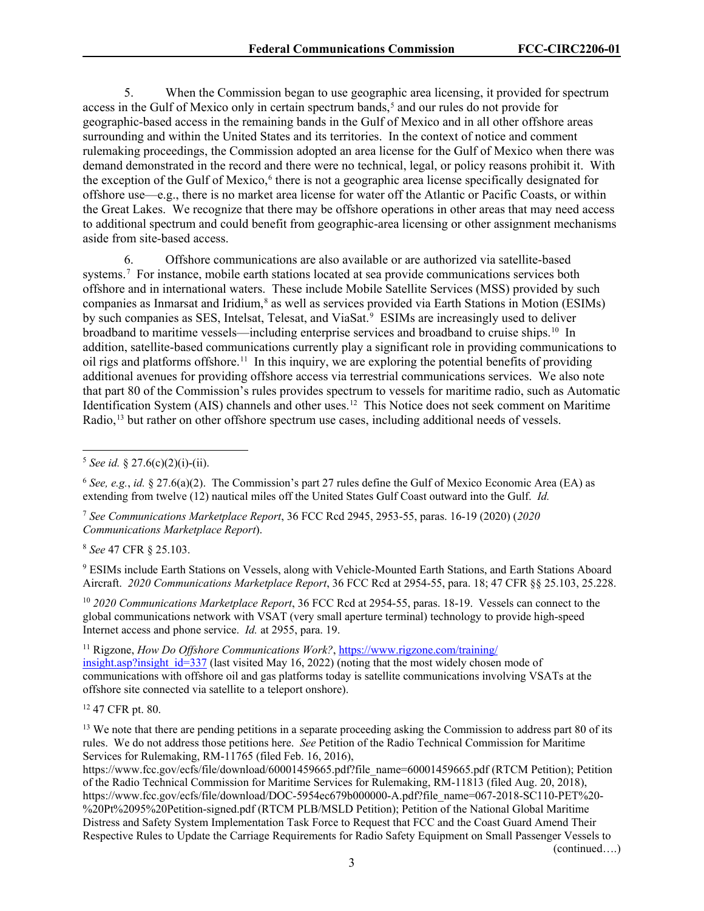5. When the Commission began to use geographic area licensing, it provided for spectrum access in the Gulf of Mexico only in certain spectrum bands,<sup>[5](#page-3-0)</sup> and our rules do not provide for geographic-based access in the remaining bands in the Gulf of Mexico and in all other offshore areas surrounding and within the United States and its territories. In the context of notice and comment rulemaking proceedings, the Commission adopted an area license for the Gulf of Mexico when there was demand demonstrated in the record and there were no technical, legal, or policy reasons prohibit it. With the exception of the Gulf of Mexico,<sup>[6](#page-3-1)</sup> there is not a geographic area license specifically designated for offshore use—e.g., there is no market area license for water off the Atlantic or Pacific Coasts, or within the Great Lakes. We recognize that there may be offshore operations in other areas that may need access to additional spectrum and could benefit from geographic-area licensing or other assignment mechanisms aside from site-based access.

6. Offshore communications are also available or are authorized via satellite-based systems.<sup>[7](#page-3-2)</sup> For instance, mobile earth stations located at sea provide communications services both offshore and in international waters. These include Mobile Satellite Services (MSS) provided by such companies as Inmarsat and Iridium,<sup>[8](#page-3-3)</sup> as well as services provided via Earth Stations in Motion (ESIMs) by such companies as SES, Intelsat, Telesat, and ViaSat.<sup>[9](#page-3-4)</sup> ESIMs are increasingly used to deliver broadband to maritime vessels—including enterprise services and broadband to cruise ships.[10](#page-3-5) In addition, satellite-based communications currently play a significant role in providing communications to oil rigs and platforms offshore.[11](#page-3-6) In this inquiry, we are exploring the potential benefits of providing additional avenues for providing offshore access via terrestrial communications services. We also note that part 80 of the Commission's rules provides spectrum to vessels for maritime radio, such as Automatic Identification System (AIS) channels and other uses.[12](#page-3-7) This Notice does not seek comment on Maritime Radio,[13](#page-3-8) but rather on other offshore spectrum use cases, including additional needs of vessels.

<span id="page-3-2"></span><sup>7</sup> *See Communications Marketplace Report*, 36 FCC Rcd 2945, 2953-55, paras. 16-19 (2020) (*2020 Communications Marketplace Report*).

<span id="page-3-3"></span><sup>8</sup> *See* 47 CFR § 25.103.

<span id="page-3-4"></span><sup>9</sup> ESIMs include Earth Stations on Vessels, along with Vehicle-Mounted Earth Stations, and Earth Stations Aboard Aircraft. *2020 Communications Marketplace Report*, 36 FCC Rcd at 2954-55, para. 18; 47 CFR §§ 25.103, 25.228.

<span id="page-3-5"></span><sup>10</sup> *2020 Communications Marketplace Report*, 36 FCC Rcd at 2954-55, paras. 18-19. Vessels can connect to the global communications network with VSAT (very small aperture terminal) technology to provide high-speed Internet access and phone service. *Id.* at 2955, para. 19.

<span id="page-3-6"></span><sup>11</sup> Rigzone, *How Do Offshore Communications Work?*, [https://www.rigzone.com/training/](https://www.rigzone.com/training/insight.asp?insight_id=337) [insight.asp?insight\\_id=337](https://www.rigzone.com/training/insight.asp?insight_id=337) (last visited May 16, 2022) (noting that the most widely chosen mode of communications with offshore oil and gas platforms today is satellite communications involving VSATs at the offshore site connected via satellite to a teleport onshore).

<span id="page-3-7"></span><sup>12</sup> 47 CFR pt. 80.

<span id="page-3-8"></span><sup>13</sup> We note that there are pending petitions in a separate proceeding asking the Commission to address part 80 of its rules. We do not address those petitions here. *See* Petition of the Radio Technical Commission for Maritime Services for Rulemaking, RM-11765 (filed Feb. 16, 2016),

https://www.fcc.gov/ecfs/file/download/60001459665.pdf?file\_name=60001459665.pdf (RTCM Petition); Petition of the Radio Technical Commission for Maritime Services for Rulemaking, RM-11813 (filed Aug. 20, 2018), https://www.fcc.gov/ecfs/file/download/DOC-5954ec679b000000-A.pdf?file\_name=067-2018-SC110-PET%20- %20Pt%2095%20Petition-signed.pdf (RTCM PLB/MSLD Petition); Petition of the National Global Maritime Distress and Safety System Implementation Task Force to Request that FCC and the Coast Guard Amend Their Respective Rules to Update the Carriage Requirements for Radio Safety Equipment on Small Passenger Vessels to (continued….)

3

<span id="page-3-0"></span> $5$  *See id.* § 27.6(c)(2)(i)-(ii).

<span id="page-3-1"></span><sup>6</sup> *See, e.g.*, *id.* § 27.6(a)(2). The Commission's part 27 rules define the Gulf of Mexico Economic Area (EA) as extending from twelve (12) nautical miles off the United States Gulf Coast outward into the Gulf. *Id.*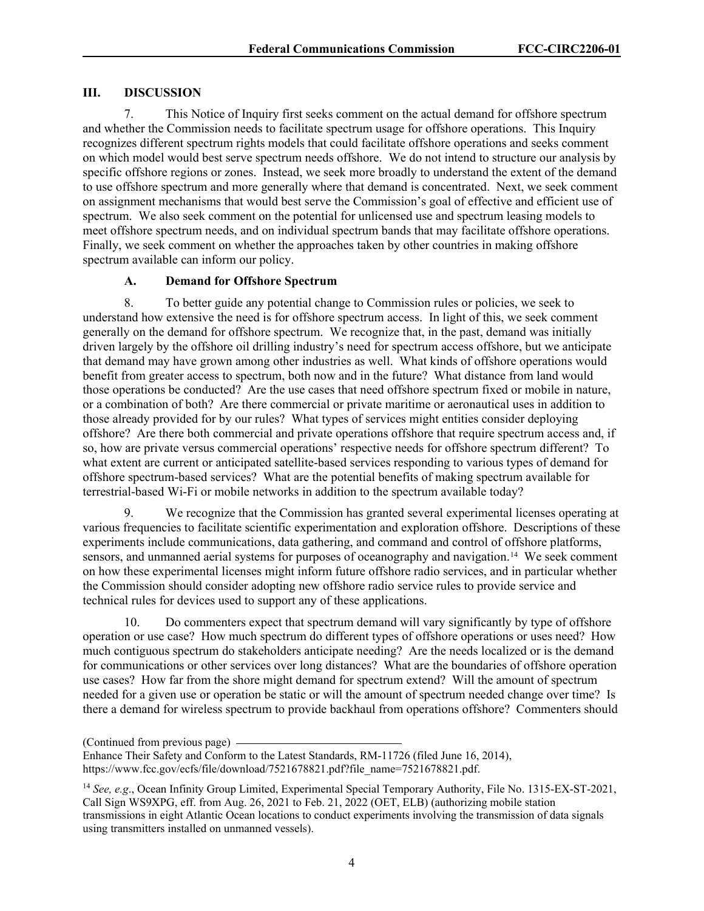#### **III. DISCUSSION**

7. This Notice of Inquiry first seeks comment on the actual demand for offshore spectrum and whether the Commission needs to facilitate spectrum usage for offshore operations. This Inquiry recognizes different spectrum rights models that could facilitate offshore operations and seeks comment on which model would best serve spectrum needs offshore. We do not intend to structure our analysis by specific offshore regions or zones. Instead, we seek more broadly to understand the extent of the demand to use offshore spectrum and more generally where that demand is concentrated. Next, we seek comment on assignment mechanisms that would best serve the Commission's goal of effective and efficient use of spectrum. We also seek comment on the potential for unlicensed use and spectrum leasing models to meet offshore spectrum needs, and on individual spectrum bands that may facilitate offshore operations. Finally, we seek comment on whether the approaches taken by other countries in making offshore spectrum available can inform our policy.

#### **A. Demand for Offshore Spectrum**

8. To better guide any potential change to Commission rules or policies, we seek to understand how extensive the need is for offshore spectrum access. In light of this, we seek comment generally on the demand for offshore spectrum. We recognize that, in the past, demand was initially driven largely by the offshore oil drilling industry's need for spectrum access offshore, but we anticipate that demand may have grown among other industries as well. What kinds of offshore operations would benefit from greater access to spectrum, both now and in the future? What distance from land would those operations be conducted? Are the use cases that need offshore spectrum fixed or mobile in nature, or a combination of both? Are there commercial or private maritime or aeronautical uses in addition to those already provided for by our rules? What types of services might entities consider deploying offshore? Are there both commercial and private operations offshore that require spectrum access and, if so, how are private versus commercial operations' respective needs for offshore spectrum different? To what extent are current or anticipated satellite-based services responding to various types of demand for offshore spectrum-based services? What are the potential benefits of making spectrum available for terrestrial-based Wi-Fi or mobile networks in addition to the spectrum available today?

9. We recognize that the Commission has granted several experimental licenses operating at various frequencies to facilitate scientific experimentation and exploration offshore. Descriptions of these experiments include communications, data gathering, and command and control of offshore platforms, sensors, and unmanned aerial systems for purposes of oceanography and navigation.<sup>[14](#page-4-0)</sup> We seek comment on how these experimental licenses might inform future offshore radio services, and in particular whether the Commission should consider adopting new offshore radio service rules to provide service and technical rules for devices used to support any of these applications.

10. Do commenters expect that spectrum demand will vary significantly by type of offshore operation or use case? How much spectrum do different types of offshore operations or uses need? How much contiguous spectrum do stakeholders anticipate needing? Are the needs localized or is the demand for communications or other services over long distances? What are the boundaries of offshore operation use cases? How far from the shore might demand for spectrum extend? Will the amount of spectrum needed for a given use or operation be static or will the amount of spectrum needed change over time? Is there a demand for wireless spectrum to provide backhaul from operations offshore? Commenters should

<sup>(</sup>Continued from previous page)

Enhance Their Safety and Conform to the Latest Standards, RM-11726 (filed June 16, 2014), https://www.fcc.gov/ecfs/file/download/7521678821.pdf?file\_name=7521678821.pdf.

<span id="page-4-0"></span><sup>14</sup> *See, e.g*., Ocean Infinity Group Limited, Experimental Special Temporary Authority, File No. 1315-EX-ST-2021, Call Sign WS9XPG, eff. from Aug. 26, 2021 to Feb. 21, 2022 (OET, ELB) (authorizing mobile station transmissions in eight Atlantic Ocean locations to conduct experiments involving the transmission of data signals using transmitters installed on unmanned vessels).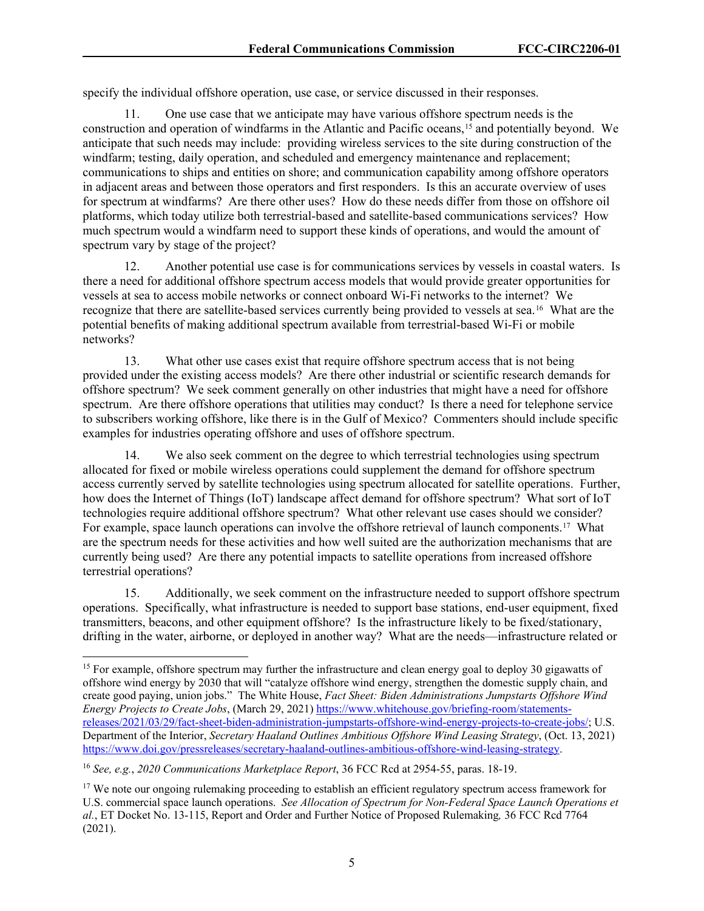specify the individual offshore operation, use case, or service discussed in their responses.

11. One use case that we anticipate may have various offshore spectrum needs is the construction and operation of windfarms in the Atlantic and Pacific oceans,[15](#page-5-0) and potentially beyond. We anticipate that such needs may include: providing wireless services to the site during construction of the windfarm; testing, daily operation, and scheduled and emergency maintenance and replacement; communications to ships and entities on shore; and communication capability among offshore operators in adjacent areas and between those operators and first responders. Is this an accurate overview of uses for spectrum at windfarms? Are there other uses? How do these needs differ from those on offshore oil platforms, which today utilize both terrestrial-based and satellite-based communications services? How much spectrum would a windfarm need to support these kinds of operations, and would the amount of spectrum vary by stage of the project?

12. Another potential use case is for communications services by vessels in coastal waters. Is there a need for additional offshore spectrum access models that would provide greater opportunities for vessels at sea to access mobile networks or connect onboard Wi-Fi networks to the internet? We recognize that there are satellite-based services currently being provided to vessels at sea.[16](#page-5-1) What are the potential benefits of making additional spectrum available from terrestrial-based Wi-Fi or mobile networks?

13. What other use cases exist that require offshore spectrum access that is not being provided under the existing access models? Are there other industrial or scientific research demands for offshore spectrum? We seek comment generally on other industries that might have a need for offshore spectrum. Are there offshore operations that utilities may conduct? Is there a need for telephone service to subscribers working offshore, like there is in the Gulf of Mexico? Commenters should include specific examples for industries operating offshore and uses of offshore spectrum.

14. We also seek comment on the degree to which terrestrial technologies using spectrum allocated for fixed or mobile wireless operations could supplement the demand for offshore spectrum access currently served by satellite technologies using spectrum allocated for satellite operations. Further, how does the Internet of Things (IoT) landscape affect demand for offshore spectrum? What sort of IoT technologies require additional offshore spectrum? What other relevant use cases should we consider? For example, space launch operations can involve the offshore retrieval of launch components.<sup>[17](#page-5-2)</sup> What are the spectrum needs for these activities and how well suited are the authorization mechanisms that are currently being used? Are there any potential impacts to satellite operations from increased offshore terrestrial operations?

15. Additionally, we seek comment on the infrastructure needed to support offshore spectrum operations. Specifically, what infrastructure is needed to support base stations, end-user equipment, fixed transmitters, beacons, and other equipment offshore? Is the infrastructure likely to be fixed/stationary, drifting in the water, airborne, or deployed in another way? What are the needs—infrastructure related or

<span id="page-5-1"></span><sup>16</sup> *See, e.g.*, *2020 Communications Marketplace Report*, 36 FCC Rcd at 2954-55, paras. 18-19.

<span id="page-5-0"></span><sup>&</sup>lt;sup>15</sup> For example, offshore spectrum may further the infrastructure and clean energy goal to deploy 30 gigawatts of offshore wind energy by 2030 that will "catalyze offshore wind energy, strengthen the domestic supply chain, and create good paying, union jobs." The White House, *Fact Sheet: Biden Administrations Jumpstarts Offshore Wind Energy Projects to Create Jobs*, (March 29, 2021) [https://www.whitehouse.gov/briefing-room/statements](https://www.whitehouse.gov/briefing-room/statements-releases/2021/03/29/fact-sheet-biden-administration-jumpstarts-offshore-wind-energy-projects-to-create-jobs/)[releases/2021/03/29/fact-sheet-biden-administration-jumpstarts-offshore-wind-energy-projects-to-create-jobs/;](https://www.whitehouse.gov/briefing-room/statements-releases/2021/03/29/fact-sheet-biden-administration-jumpstarts-offshore-wind-energy-projects-to-create-jobs/) U.S. Department of the Interior, *Secretary Haaland Outlines Ambitious Offshore Wind Leasing Strategy*, (Oct. 13, 2021) [https://www.doi.gov/pressreleases/secretary-haaland-outlines-ambitious-offshore-wind-leasing-strategy.](https://www.doi.gov/pressreleases/secretary-haaland-outlines-ambitious-offshore-wind-leasing-strategy)

<span id="page-5-2"></span><sup>&</sup>lt;sup>17</sup> We note our ongoing rulemaking proceeding to establish an efficient regulatory spectrum access framework for U.S. commercial space launch operations. *See Allocation of Spectrum for Non-Federal Space Launch Operations et al.*, ET Docket No. 13-115, Report and Order and Further Notice of Proposed Rulemaking*,* 36 FCC Rcd 7764 (2021).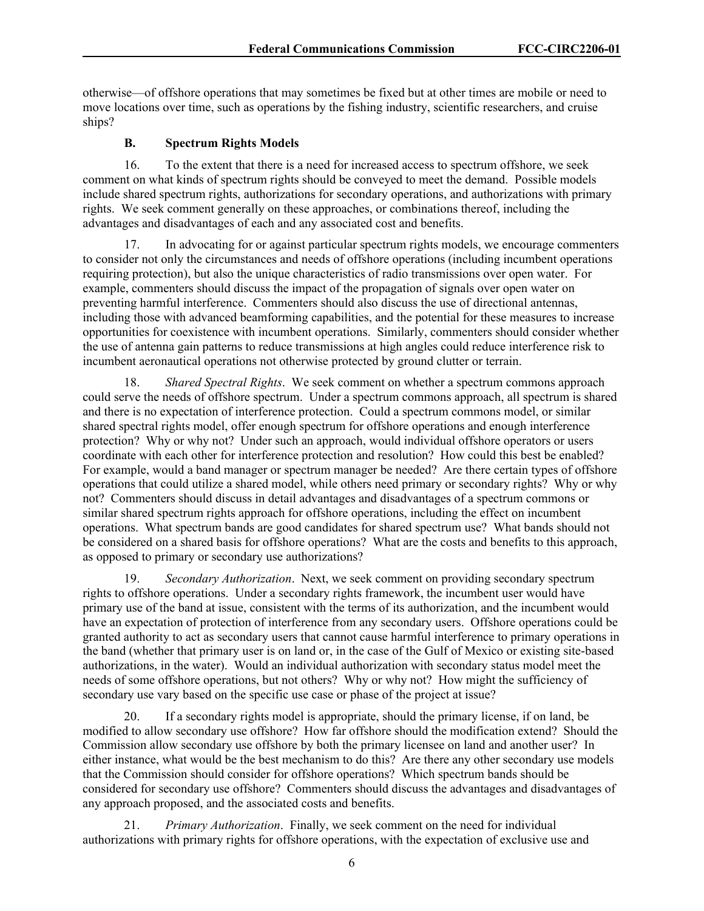otherwise—of offshore operations that may sometimes be fixed but at other times are mobile or need to move locations over time, such as operations by the fishing industry, scientific researchers, and cruise ships?

#### **B. Spectrum Rights Models**

16. To the extent that there is a need for increased access to spectrum offshore, we seek comment on what kinds of spectrum rights should be conveyed to meet the demand. Possible models include shared spectrum rights, authorizations for secondary operations, and authorizations with primary rights. We seek comment generally on these approaches, or combinations thereof, including the advantages and disadvantages of each and any associated cost and benefits.

17. In advocating for or against particular spectrum rights models, we encourage commenters to consider not only the circumstances and needs of offshore operations (including incumbent operations requiring protection), but also the unique characteristics of radio transmissions over open water. For example, commenters should discuss the impact of the propagation of signals over open water on preventing harmful interference. Commenters should also discuss the use of directional antennas, including those with advanced beamforming capabilities, and the potential for these measures to increase opportunities for coexistence with incumbent operations. Similarly, commenters should consider whether the use of antenna gain patterns to reduce transmissions at high angles could reduce interference risk to incumbent aeronautical operations not otherwise protected by ground clutter or terrain.

18. *Shared Spectral Rights*. We seek comment on whether a spectrum commons approach could serve the needs of offshore spectrum. Under a spectrum commons approach, all spectrum is shared and there is no expectation of interference protection. Could a spectrum commons model, or similar shared spectral rights model, offer enough spectrum for offshore operations and enough interference protection? Why or why not? Under such an approach, would individual offshore operators or users coordinate with each other for interference protection and resolution? How could this best be enabled? For example, would a band manager or spectrum manager be needed? Are there certain types of offshore operations that could utilize a shared model, while others need primary or secondary rights? Why or why not? Commenters should discuss in detail advantages and disadvantages of a spectrum commons or similar shared spectrum rights approach for offshore operations, including the effect on incumbent operations. What spectrum bands are good candidates for shared spectrum use? What bands should not be considered on a shared basis for offshore operations? What are the costs and benefits to this approach, as opposed to primary or secondary use authorizations?

19. *Secondary Authorization*. Next, we seek comment on providing secondary spectrum rights to offshore operations. Under a secondary rights framework, the incumbent user would have primary use of the band at issue, consistent with the terms of its authorization, and the incumbent would have an expectation of protection of interference from any secondary users. Offshore operations could be granted authority to act as secondary users that cannot cause harmful interference to primary operations in the band (whether that primary user is on land or, in the case of the Gulf of Mexico or existing site-based authorizations, in the water). Would an individual authorization with secondary status model meet the needs of some offshore operations, but not others? Why or why not? How might the sufficiency of secondary use vary based on the specific use case or phase of the project at issue?

20. If a secondary rights model is appropriate, should the primary license, if on land, be modified to allow secondary use offshore? How far offshore should the modification extend? Should the Commission allow secondary use offshore by both the primary licensee on land and another user? In either instance, what would be the best mechanism to do this? Are there any other secondary use models that the Commission should consider for offshore operations? Which spectrum bands should be considered for secondary use offshore? Commenters should discuss the advantages and disadvantages of any approach proposed, and the associated costs and benefits.

21. *Primary Authorization*. Finally, we seek comment on the need for individual authorizations with primary rights for offshore operations, with the expectation of exclusive use and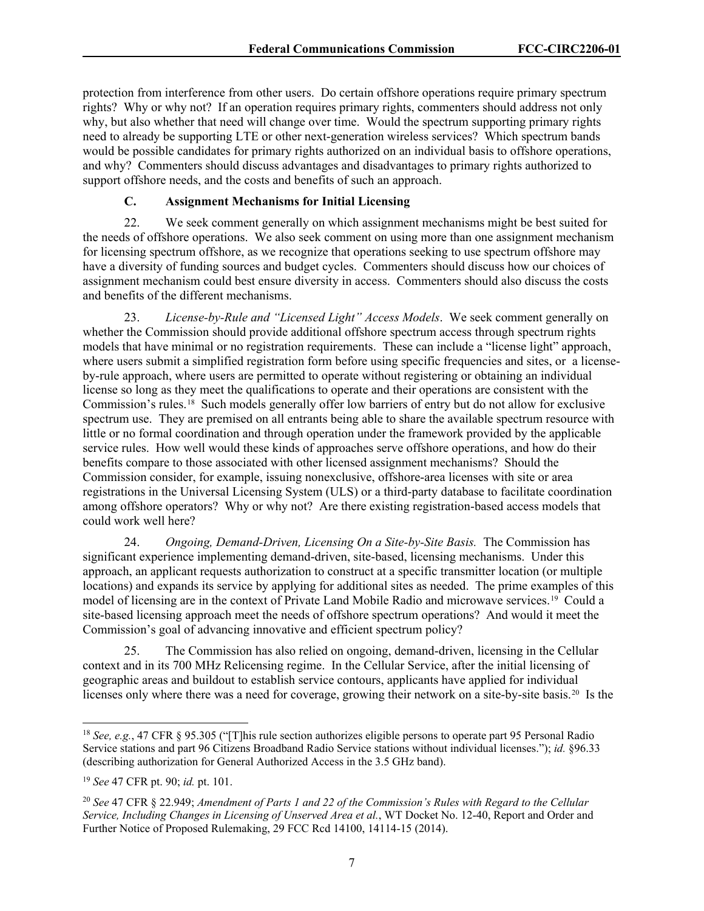protection from interference from other users. Do certain offshore operations require primary spectrum rights? Why or why not? If an operation requires primary rights, commenters should address not only why, but also whether that need will change over time. Would the spectrum supporting primary rights need to already be supporting LTE or other next-generation wireless services? Which spectrum bands would be possible candidates for primary rights authorized on an individual basis to offshore operations, and why? Commenters should discuss advantages and disadvantages to primary rights authorized to support offshore needs, and the costs and benefits of such an approach.

### **C. Assignment Mechanisms for Initial Licensing**

22. We seek comment generally on which assignment mechanisms might be best suited for the needs of offshore operations. We also seek comment on using more than one assignment mechanism for licensing spectrum offshore, as we recognize that operations seeking to use spectrum offshore may have a diversity of funding sources and budget cycles. Commenters should discuss how our choices of assignment mechanism could best ensure diversity in access. Commenters should also discuss the costs and benefits of the different mechanisms.

23. *License-by-Rule and "Licensed Light" Access Models*. We seek comment generally on whether the Commission should provide additional offshore spectrum access through spectrum rights models that have minimal or no registration requirements. These can include a "license light" approach, where users submit a simplified registration form before using specific frequencies and sites, or a licenseby-rule approach, where users are permitted to operate without registering or obtaining an individual license so long as they meet the qualifications to operate and their operations are consistent with the Commission's rules.[18](#page-7-0) Such models generally offer low barriers of entry but do not allow for exclusive spectrum use. They are premised on all entrants being able to share the available spectrum resource with little or no formal coordination and through operation under the framework provided by the applicable service rules. How well would these kinds of approaches serve offshore operations, and how do their benefits compare to those associated with other licensed assignment mechanisms? Should the Commission consider, for example, issuing nonexclusive, offshore-area licenses with site or area registrations in the Universal Licensing System (ULS) or a third-party database to facilitate coordination among offshore operators? Why or why not? Are there existing registration-based access models that could work well here?

24. *Ongoing, Demand-Driven, Licensing On a Site-by-Site Basis.* The Commission has significant experience implementing demand-driven, site-based, licensing mechanisms. Under this approach, an applicant requests authorization to construct at a specific transmitter location (or multiple locations) and expands its service by applying for additional sites as needed. The prime examples of this model of licensing are in the context of Private Land Mobile Radio and microwave services.[19](#page-7-1) Could a site-based licensing approach meet the needs of offshore spectrum operations? And would it meet the Commission's goal of advancing innovative and efficient spectrum policy?

25. The Commission has also relied on ongoing, demand-driven, licensing in the Cellular context and in its 700 MHz Relicensing regime. In the Cellular Service, after the initial licensing of geographic areas and buildout to establish service contours, applicants have applied for individual licenses only where there was a need for coverage, growing their network on a site-by-site basis.<sup>20</sup> Is the

<span id="page-7-0"></span><sup>18</sup> *See, e.g.*, 47 CFR § 95.305 ("[T]his rule section authorizes eligible persons to operate part 95 Personal Radio Service stations and part 96 Citizens Broadband Radio Service stations without individual licenses."); *id.* §96.33 (describing authorization for General Authorized Access in the 3.5 GHz band).

<span id="page-7-1"></span><sup>19</sup> *See* 47 CFR pt. 90; *id.* pt. 101.

<span id="page-7-2"></span><sup>20</sup> *See* 47 CFR § 22.949; *Amendment of Parts 1 and 22 of the Commission's Rules with Regard to the Cellular Service, Including Changes in Licensing of Unserved Area et al.*, WT Docket No. 12-40, Report and Order and Further Notice of Proposed Rulemaking, 29 FCC Rcd 14100, 14114-15 (2014).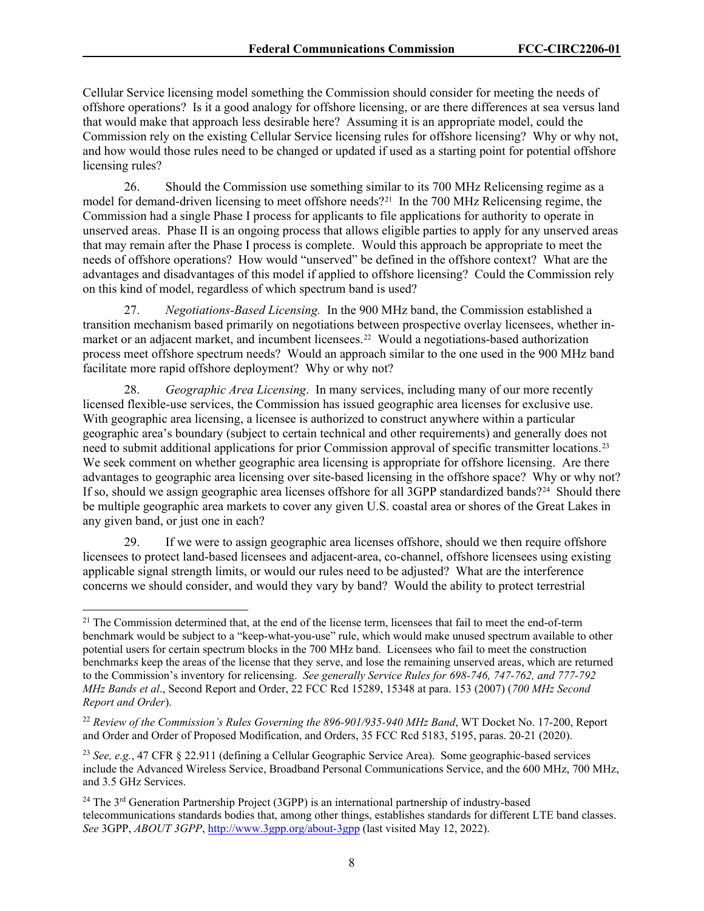Cellular Service licensing model something the Commission should consider for meeting the needs of offshore operations? Is it a good analogy for offshore licensing, or are there differences at sea versus land that would make that approach less desirable here? Assuming it is an appropriate model, could the Commission rely on the existing Cellular Service licensing rules for offshore licensing? Why or why not, and how would those rules need to be changed or updated if used as a starting point for potential offshore licensing rules?

26. Should the Commission use something similar to its 700 MHz Relicensing regime as a model for demand-driven licensing to meet offshore needs?<sup>[21](#page-8-0)</sup> In the 700 MHz Relicensing regime, the Commission had a single Phase I process for applicants to file applications for authority to operate in unserved areas. Phase II is an ongoing process that allows eligible parties to apply for any unserved areas that may remain after the Phase I process is complete. Would this approach be appropriate to meet the needs of offshore operations? How would "unserved" be defined in the offshore context? What are the advantages and disadvantages of this model if applied to offshore licensing? Could the Commission rely on this kind of model, regardless of which spectrum band is used?

27. *Negotiations-Based Licensing.* In the 900 MHz band, the Commission established a transition mechanism based primarily on negotiations between prospective overlay licensees, whether inmarket or an adjacent market, and incumbent licensees.[22](#page-8-1) Would a negotiations-based authorization process meet offshore spectrum needs? Would an approach similar to the one used in the 900 MHz band facilitate more rapid offshore deployment? Why or why not?

28. *Geographic Area Licensing*. In many services, including many of our more recently licensed flexible-use services, the Commission has issued geographic area licenses for exclusive use. With geographic area licensing, a licensee is authorized to construct anywhere within a particular geographic area's boundary (subject to certain technical and other requirements) and generally does not need to submit additional applications for prior Commission approval of specific transmitter locations.<sup>[23](#page-8-2)</sup> We seek comment on whether geographic area licensing is appropriate for offshore licensing. Are there advantages to geographic area licensing over site-based licensing in the offshore space? Why or why not? If so, should we assign geographic area licenses offshore for all 3GPP standardized bands?<sup>[24](#page-8-3)</sup> Should there be multiple geographic area markets to cover any given U.S. coastal area or shores of the Great Lakes in any given band, or just one in each?

29. If we were to assign geographic area licenses offshore, should we then require offshore licensees to protect land-based licensees and adjacent-area, co-channel, offshore licensees using existing applicable signal strength limits, or would our rules need to be adjusted? What are the interference concerns we should consider, and would they vary by band? Would the ability to protect terrestrial

<span id="page-8-0"></span> $21$  The Commission determined that, at the end of the license term, licensees that fail to meet the end-of-term benchmark would be subject to a "keep-what-you-use" rule, which would make unused spectrum available to other potential users for certain spectrum blocks in the 700 MHz band. Licensees who fail to meet the construction benchmarks keep the areas of the license that they serve, and lose the remaining unserved areas, which are returned to the Commission's inventory for relicensing. *See generally Service Rules for 698-746, 747-762, and 777-792 MHz Bands et al*., Second Report and Order, 22 FCC Rcd 15289, 15348 at para. 153 (2007) (*700 MHz Second Report and Order*).

<span id="page-8-1"></span><sup>22</sup> *Review of the Commission's Rules Governing the 896-901/935-940 MHz Band*, WT Docket No. 17-200, Report and Order and Order of Proposed Modification, and Orders, 35 FCC Rcd 5183, 5195, paras. 20-21 (2020).

<span id="page-8-2"></span><sup>23</sup> *See, e.g.*, 47 CFR § 22.911 (defining a Cellular Geographic Service Area). Some geographic-based services include the Advanced Wireless Service, Broadband Personal Communications Service, and the 600 MHz, 700 MHz, and 3.5 GHz Services.

<span id="page-8-3"></span><sup>&</sup>lt;sup>24</sup> The  $3<sup>rd</sup>$  Generation Partnership Project (3GPP) is an international partnership of industry-based telecommunications standards bodies that, among other things, establishes standards for different LTE band classes. *See* 3GPP, *ABOUT 3GPP*,<http://www.3gpp.org/about-3gpp> (last visited May 12, 2022).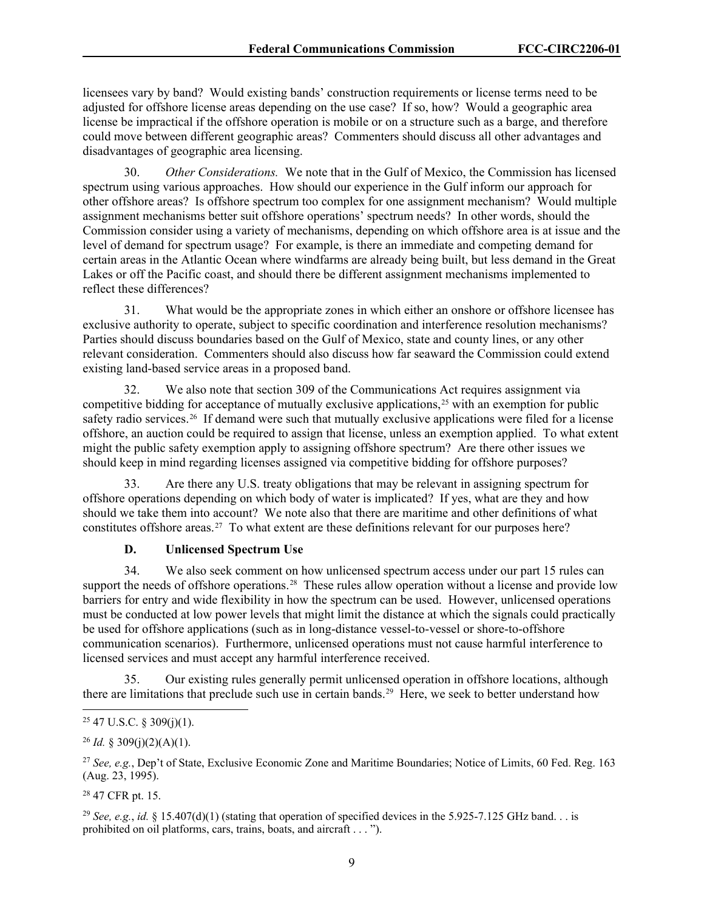licensees vary by band? Would existing bands' construction requirements or license terms need to be adjusted for offshore license areas depending on the use case? If so, how? Would a geographic area license be impractical if the offshore operation is mobile or on a structure such as a barge, and therefore could move between different geographic areas? Commenters should discuss all other advantages and disadvantages of geographic area licensing.

30. *Other Considerations.* We note that in the Gulf of Mexico, the Commission has licensed spectrum using various approaches. How should our experience in the Gulf inform our approach for other offshore areas? Is offshore spectrum too complex for one assignment mechanism? Would multiple assignment mechanisms better suit offshore operations' spectrum needs? In other words, should the Commission consider using a variety of mechanisms, depending on which offshore area is at issue and the level of demand for spectrum usage? For example, is there an immediate and competing demand for certain areas in the Atlantic Ocean where windfarms are already being built, but less demand in the Great Lakes or off the Pacific coast, and should there be different assignment mechanisms implemented to reflect these differences?

31. What would be the appropriate zones in which either an onshore or offshore licensee has exclusive authority to operate, subject to specific coordination and interference resolution mechanisms? Parties should discuss boundaries based on the Gulf of Mexico, state and county lines, or any other relevant consideration. Commenters should also discuss how far seaward the Commission could extend existing land-based service areas in a proposed band.

32. We also note that section 309 of the Communications Act requires assignment via competitive bidding for acceptance of mutually exclusive applications,<sup>[25](#page-9-0)</sup> with an exemption for public safety radio services.<sup>[26](#page-9-1)</sup> If demand were such that mutually exclusive applications were filed for a license offshore, an auction could be required to assign that license, unless an exemption applied. To what extent might the public safety exemption apply to assigning offshore spectrum? Are there other issues we should keep in mind regarding licenses assigned via competitive bidding for offshore purposes?

33. Are there any U.S. treaty obligations that may be relevant in assigning spectrum for offshore operations depending on which body of water is implicated? If yes, what are they and how should we take them into account? We note also that there are maritime and other definitions of what constitutes offshore areas.<sup>27</sup> To what extent are these definitions relevant for our purposes here?

### **D. Unlicensed Spectrum Use**

34. We also seek comment on how unlicensed spectrum access under our part 15 rules can support the needs of offshore operations.<sup>28</sup> These rules allow operation without a license and provide low barriers for entry and wide flexibility in how the spectrum can be used. However, unlicensed operations must be conducted at low power levels that might limit the distance at which the signals could practically be used for offshore applications (such as in long-distance vessel-to-vessel or shore-to-offshore communication scenarios). Furthermore, unlicensed operations must not cause harmful interference to licensed services and must accept any harmful interference received.

35. Our existing rules generally permit unlicensed operation in offshore locations, although there are limitations that preclude such use in certain bands.<sup>[29](#page-9-4)</sup> Here, we seek to better understand how

<span id="page-9-0"></span> $25$  47 U.S.C. § 309(j)(1).

<span id="page-9-1"></span><sup>&</sup>lt;sup>26</sup> *Id.* § 309(j)(2)(A)(1).

<span id="page-9-2"></span><sup>27</sup> *See, e.g.*, Dep't of State, Exclusive Economic Zone and Maritime Boundaries; Notice of Limits, 60 Fed. Reg. 163 (Aug. 23, 1995).

<span id="page-9-3"></span><sup>28</sup> 47 CFR pt. 15.

<span id="page-9-4"></span><sup>&</sup>lt;sup>29</sup> *See, e.g., id.* § 15.407(d)(1) (stating that operation of specified devices in the 5.925-7.125 GHz band... is prohibited on oil platforms, cars, trains, boats, and aircraft . . . ").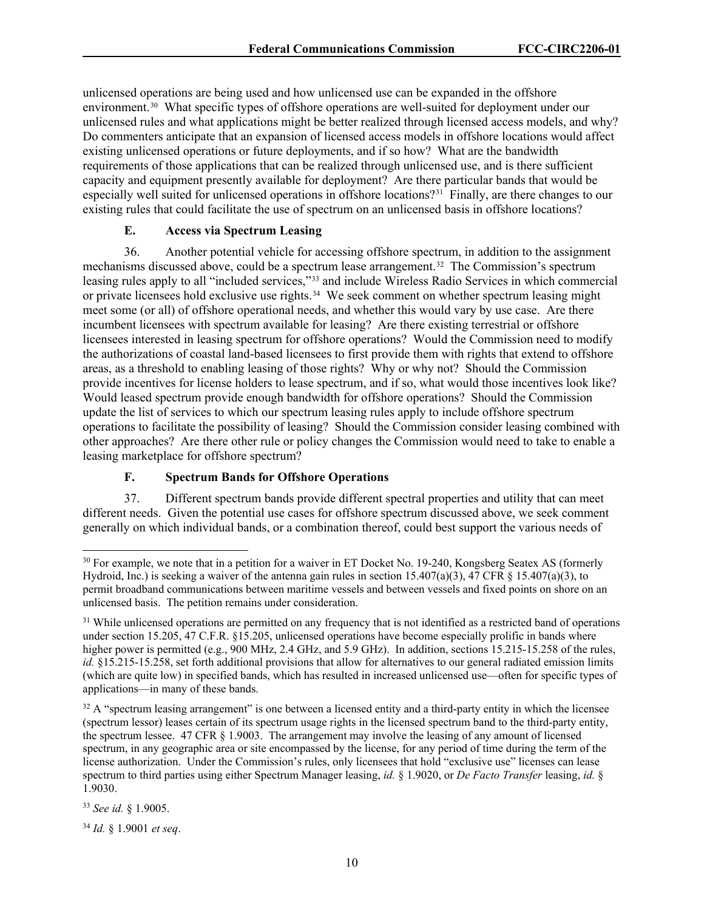unlicensed operations are being used and how unlicensed use can be expanded in the offshore environment.[30](#page-10-0) What specific types of offshore operations are well-suited for deployment under our unlicensed rules and what applications might be better realized through licensed access models, and why? Do commenters anticipate that an expansion of licensed access models in offshore locations would affect existing unlicensed operations or future deployments, and if so how? What are the bandwidth requirements of those applications that can be realized through unlicensed use, and is there sufficient capacity and equipment presently available for deployment? Are there particular bands that would be especially well suited for unlicensed operations in offshore locations?<sup>31</sup> Finally, are there changes to our existing rules that could facilitate the use of spectrum on an unlicensed basis in offshore locations?

## **E. Access via Spectrum Leasing**

36. Another potential vehicle for accessing offshore spectrum, in addition to the assignment mechanisms discussed above, could be a spectrum lease arrangement.<sup>[32](#page-10-2)</sup> The Commission's spectrum leasing rules apply to all "included services,"[33](#page-10-3) and include Wireless Radio Services in which commercial or private licensees hold exclusive use rights.<sup>[34](#page-10-4)</sup> We seek comment on whether spectrum leasing might meet some (or all) of offshore operational needs, and whether this would vary by use case. Are there incumbent licensees with spectrum available for leasing? Are there existing terrestrial or offshore licensees interested in leasing spectrum for offshore operations? Would the Commission need to modify the authorizations of coastal land-based licensees to first provide them with rights that extend to offshore areas, as a threshold to enabling leasing of those rights? Why or why not? Should the Commission provide incentives for license holders to lease spectrum, and if so, what would those incentives look like? Would leased spectrum provide enough bandwidth for offshore operations? Should the Commission update the list of services to which our spectrum leasing rules apply to include offshore spectrum operations to facilitate the possibility of leasing? Should the Commission consider leasing combined with other approaches? Are there other rule or policy changes the Commission would need to take to enable a leasing marketplace for offshore spectrum?

### **F. Spectrum Bands for Offshore Operations**

37. Different spectrum bands provide different spectral properties and utility that can meet different needs. Given the potential use cases for offshore spectrum discussed above, we seek comment generally on which individual bands, or a combination thereof, could best support the various needs of

<span id="page-10-3"></span><sup>33</sup> *See id.* § 1.9005.

<span id="page-10-4"></span><sup>34</sup> *Id.* § 1.9001 *et seq*.

<span id="page-10-0"></span><sup>&</sup>lt;sup>30</sup> For example, we note that in a petition for a waiver in ET Docket No. 19-240, Kongsberg Seatex AS (formerly Hydroid, Inc.) is seeking a waiver of the antenna gain rules in section 15.407(a)(3), 47 CFR § 15.407(a)(3), to permit broadband communications between maritime vessels and between vessels and fixed points on shore on an unlicensed basis. The petition remains under consideration.

<span id="page-10-1"></span><sup>&</sup>lt;sup>31</sup> While unlicensed operations are permitted on any frequency that is not identified as a restricted band of operations under section 15.205, 47 C.F.R. §15.205, unlicensed operations have become especially prolific in bands where higher power is permitted (e.g., 900 MHz, 2.4 GHz, and 5.9 GHz). In addition, sections 15.215-15.258 of the rules, *id.* §15.215-15.258, set forth additional provisions that allow for alternatives to our general radiated emission limits (which are quite low) in specified bands, which has resulted in increased unlicensed use—often for specific types of applications—in many of these bands.

<span id="page-10-2"></span> $32$  A "spectrum leasing arrangement" is one between a licensed entity and a third-party entity in which the licensee (spectrum lessor) leases certain of its spectrum usage rights in the licensed spectrum band to the third-party entity, the spectrum lessee. 47 CFR § 1.9003. The arrangement may involve the leasing of any amount of licensed spectrum, in any geographic area or site encompassed by the license, for any period of time during the term of the license authorization. Under the Commission's rules, only licensees that hold "exclusive use" licenses can lease spectrum to third parties using either Spectrum Manager leasing, *id.* § 1.9020, or *De Facto Transfer* leasing, *id.* § 1.9030.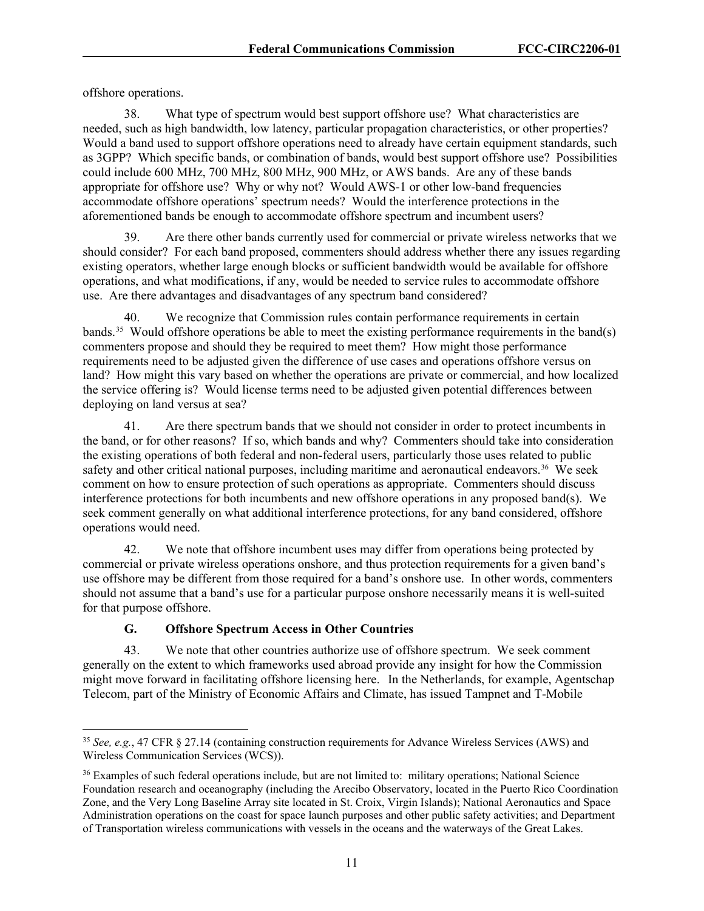offshore operations.

38. What type of spectrum would best support offshore use? What characteristics are needed, such as high bandwidth, low latency, particular propagation characteristics, or other properties? Would a band used to support offshore operations need to already have certain equipment standards, such as 3GPP? Which specific bands, or combination of bands, would best support offshore use? Possibilities could include 600 MHz, 700 MHz, 800 MHz, 900 MHz, or AWS bands. Are any of these bands appropriate for offshore use? Why or why not? Would AWS-1 or other low-band frequencies accommodate offshore operations' spectrum needs? Would the interference protections in the aforementioned bands be enough to accommodate offshore spectrum and incumbent users?

39. Are there other bands currently used for commercial or private wireless networks that we should consider? For each band proposed, commenters should address whether there any issues regarding existing operators, whether large enough blocks or sufficient bandwidth would be available for offshore operations, and what modifications, if any, would be needed to service rules to accommodate offshore use. Are there advantages and disadvantages of any spectrum band considered?

40. We recognize that Commission rules contain performance requirements in certain bands.[35](#page-11-0) Would offshore operations be able to meet the existing performance requirements in the band(s) commenters propose and should they be required to meet them? How might those performance requirements need to be adjusted given the difference of use cases and operations offshore versus on land? How might this vary based on whether the operations are private or commercial, and how localized the service offering is? Would license terms need to be adjusted given potential differences between deploying on land versus at sea?

41. Are there spectrum bands that we should not consider in order to protect incumbents in the band, or for other reasons? If so, which bands and why? Commenters should take into consideration the existing operations of both federal and non-federal users, particularly those uses related to public safety and other critical national purposes, including maritime and aeronautical endeavors.<sup>[36](#page-11-1)</sup> We seek comment on how to ensure protection of such operations as appropriate. Commenters should discuss interference protections for both incumbents and new offshore operations in any proposed band(s). We seek comment generally on what additional interference protections, for any band considered, offshore operations would need.

42. We note that offshore incumbent uses may differ from operations being protected by commercial or private wireless operations onshore, and thus protection requirements for a given band's use offshore may be different from those required for a band's onshore use. In other words, commenters should not assume that a band's use for a particular purpose onshore necessarily means it is well-suited for that purpose offshore.

# **G. Offshore Spectrum Access in Other Countries**

43. We note that other countries authorize use of offshore spectrum. We seek comment generally on the extent to which frameworks used abroad provide any insight for how the Commission might move forward in facilitating offshore licensing here. In the Netherlands, for example, Agentschap Telecom, part of the Ministry of Economic Affairs and Climate, has issued Tampnet and T-Mobile

<span id="page-11-0"></span><sup>35</sup> *See, e.g.*, 47 CFR § 27.14 (containing construction requirements for Advance Wireless Services (AWS) and Wireless Communication Services (WCS)).

<span id="page-11-1"></span><sup>36</sup> Examples of such federal operations include, but are not limited to: military operations; National Science Foundation research and oceanography (including the Arecibo Observatory, located in the Puerto Rico Coordination Zone, and the Very Long Baseline Array site located in St. Croix, Virgin Islands); National Aeronautics and Space Administration operations on the coast for space launch purposes and other public safety activities; and Department of Transportation wireless communications with vessels in the oceans and the waterways of the Great Lakes.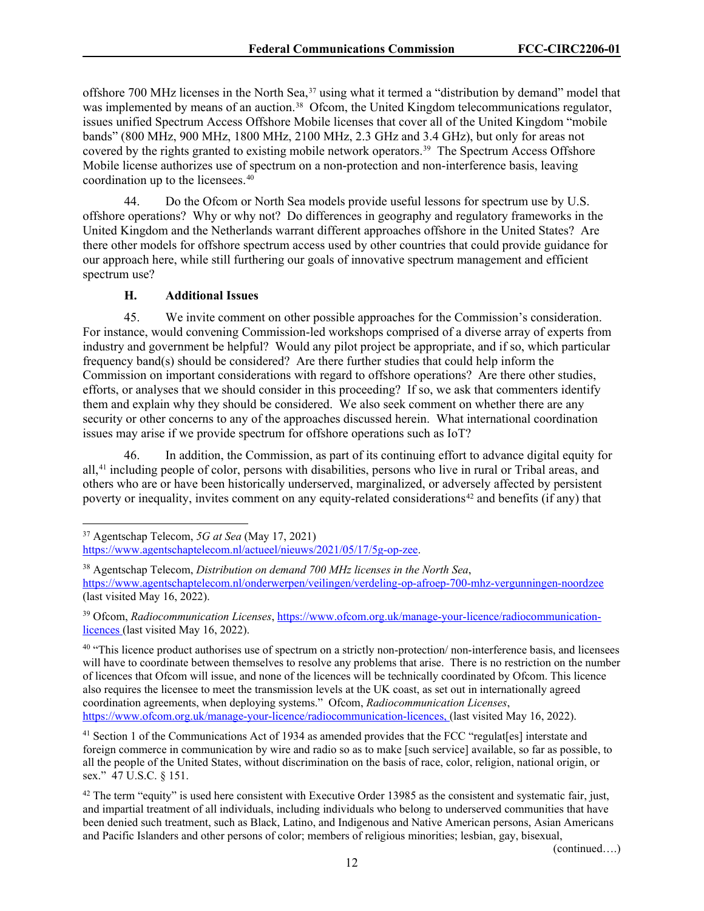offshore 700 MHz licenses in the North Sea,<sup>[37](#page-12-0)</sup> using what it termed a "distribution by demand" model that was implemented by means of an auction.<sup>38</sup> Ofcom, the United Kingdom telecommunications regulator, issues unified Spectrum Access Offshore Mobile licenses that cover all of the United Kingdom "mobile bands" (800 MHz, 900 MHz, 1800 MHz, 2100 MHz, 2.3 GHz and 3.4 GHz), but only for areas not covered by the rights granted to existing mobile network operators.<sup>39</sup> The Spectrum Access Offshore Mobile license authorizes use of spectrum on a non-protection and non-interference basis, leaving coordination up to the licensees.[40](#page-12-3)

44. Do the Ofcom or North Sea models provide useful lessons for spectrum use by U.S. offshore operations? Why or why not? Do differences in geography and regulatory frameworks in the United Kingdom and the Netherlands warrant different approaches offshore in the United States? Are there other models for offshore spectrum access used by other countries that could provide guidance for our approach here, while still furthering our goals of innovative spectrum management and efficient spectrum use?

#### **H. Additional Issues**

45. We invite comment on other possible approaches for the Commission's consideration. For instance, would convening Commission-led workshops comprised of a diverse array of experts from industry and government be helpful? Would any pilot project be appropriate, and if so, which particular frequency band(s) should be considered? Are there further studies that could help inform the Commission on important considerations with regard to offshore operations? Are there other studies, efforts, or analyses that we should consider in this proceeding? If so, we ask that commenters identify them and explain why they should be considered. We also seek comment on whether there are any security or other concerns to any of the approaches discussed herein. What international coordination issues may arise if we provide spectrum for offshore operations such as IoT?

46. In addition, the Commission, as part of its continuing effort to advance digital equity for all,[41](#page-12-4) including people of color, persons with disabilities, persons who live in rural or Tribal areas, and others who are or have been historically underserved, marginalized, or adversely affected by persistent poverty or inequality, invites comment on any equity-related considerations<sup>[42](#page-12-5)</sup> and benefits (if any) that

[https://www.agentschaptelecom.nl/actueel/nieuws/2021/05/17/5g-op-zee.](https://www.agentschaptelecom.nl/actueel/nieuws/2021/05/17/5g-op-zee)

(continued….)

<span id="page-12-0"></span><sup>37</sup> Agentschap Telecom, *5G at Sea* (May 17, 2021)

<span id="page-12-1"></span><sup>38</sup> Agentschap Telecom, *Distribution on demand 700 MHz licenses in the North Sea*, <https://www.agentschaptelecom.nl/onderwerpen/veilingen/verdeling-op-afroep-700-mhz-vergunningen-noordzee> (last visited May 16, 2022).

<span id="page-12-2"></span><sup>39</sup> Ofcom, *Radiocommunication Licenses*, [https://www.ofcom.org.uk/manage-your-licence/radiocommunication](https://www.ofcom.org.uk/manage-your-licence/radiocommunication-licences)[licences](https://www.ofcom.org.uk/manage-your-licence/radiocommunication-licences) (last visited May 16, 2022).

<span id="page-12-3"></span><sup>&</sup>lt;sup>40</sup> "This licence product authorises use of spectrum on a strictly non-protection/non-interference basis, and licensees will have to coordinate between themselves to resolve any problems that arise. There is no restriction on the number of licences that Ofcom will issue, and none of the licences will be technically coordinated by Ofcom. This licence also requires the licensee to meet the transmission levels at the UK coast, as set out in internationally agreed coordination agreements, when deploying systems." Ofcom, *Radiocommunication Licenses*, [https://www.ofcom.org.uk/manage-your-licence/radiocommunication-licences,](https://www.ofcom.org.uk/manage-your-licence/radiocommunication-licences) (last visited May 16, 2022).

<span id="page-12-4"></span><sup>&</sup>lt;sup>41</sup> Section 1 of the Communications Act of 1934 as amended provides that the FCC "regulat[es] interstate and foreign commerce in communication by wire and radio so as to make [such service] available, so far as possible, to all the people of the United States, without discrimination on the basis of race, color, religion, national origin, or sex." 47 U.S.C. § 151.

<span id="page-12-5"></span> $42$  The term "equity" is used here consistent with Executive Order 13985 as the consistent and systematic fair, just, and impartial treatment of all individuals, including individuals who belong to underserved communities that have been denied such treatment, such as Black, Latino, and Indigenous and Native American persons, Asian Americans and Pacific Islanders and other persons of color; members of religious minorities; lesbian, gay, bisexual,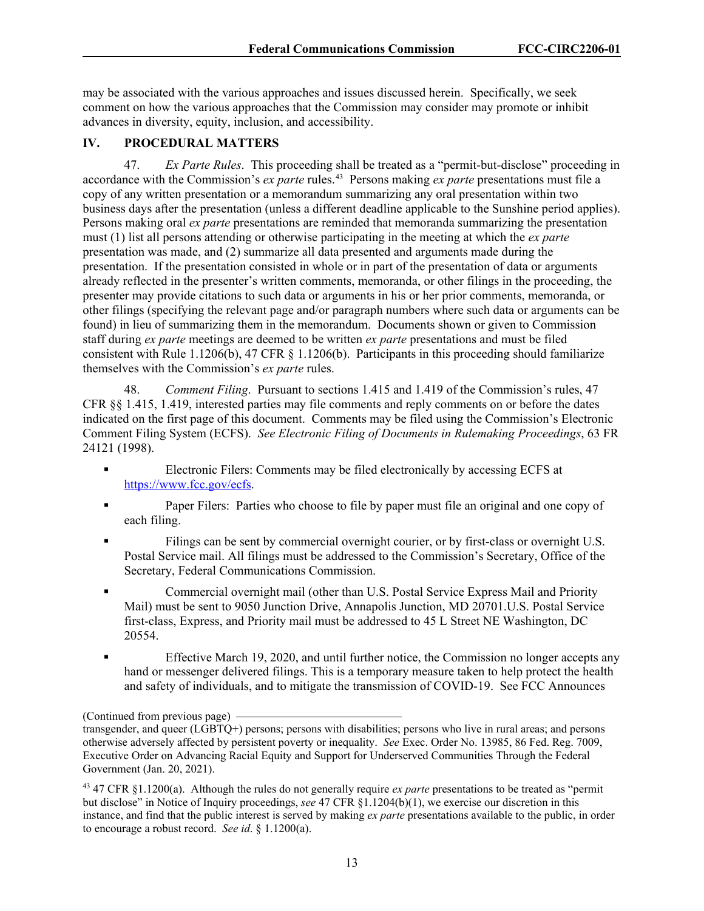may be associated with the various approaches and issues discussed herein. Specifically, we seek comment on how the various approaches that the Commission may consider may promote or inhibit advances in diversity, equity, inclusion, and accessibility.

### **IV. PROCEDURAL MATTERS**

47. *Ex Parte Rules*. This proceeding shall be treated as a "permit-but-disclose" proceeding in accordance with the Commission's *ex parte* rules.[43](#page-13-0) Persons making *ex parte* presentations must file a copy of any written presentation or a memorandum summarizing any oral presentation within two business days after the presentation (unless a different deadline applicable to the Sunshine period applies). Persons making oral *ex parte* presentations are reminded that memoranda summarizing the presentation must (1) list all persons attending or otherwise participating in the meeting at which the *ex parte* presentation was made, and (2) summarize all data presented and arguments made during the presentation. If the presentation consisted in whole or in part of the presentation of data or arguments already reflected in the presenter's written comments, memoranda, or other filings in the proceeding, the presenter may provide citations to such data or arguments in his or her prior comments, memoranda, or other filings (specifying the relevant page and/or paragraph numbers where such data or arguments can be found) in lieu of summarizing them in the memorandum. Documents shown or given to Commission staff during *ex parte* meetings are deemed to be written *ex parte* presentations and must be filed consistent with Rule 1.1206(b), 47 CFR § 1.1206(b). Participants in this proceeding should familiarize themselves with the Commission's *ex parte* rules.

48. *Comment Filing*. Pursuant to sections 1.415 and 1.419 of the Commission's rules, 47 CFR §§ 1.415, 1.419, interested parties may file comments and reply comments on or before the dates indicated on the first page of this document. Comments may be filed using the Commission's Electronic Comment Filing System (ECFS). *See Electronic Filing of Documents in Rulemaking Proceedings*, 63 FR 24121 (1998).

- Electronic Filers: Comments may be filed electronically by accessing ECFS at [https://www.fcc.gov/ecfs.](https://www.fcc.gov/ecfs)
- **Paper Filers:** Parties who choose to file by paper must file an original and one copy of each filing.
- Filings can be sent by commercial overnight courier, or by first-class or overnight U.S. Postal Service mail. All filings must be addressed to the Commission's Secretary, Office of the Secretary, Federal Communications Commission.
- Commercial overnight mail (other than U.S. Postal Service Express Mail and Priority Mail) must be sent to 9050 Junction Drive, Annapolis Junction, MD 20701.U.S. Postal Service first-class, Express, and Priority mail must be addressed to 45 L Street NE Washington, DC 20554.
- Effective March 19, 2020, and until further notice, the Commission no longer accepts any hand or messenger delivered filings. This is a temporary measure taken to help protect the health and safety of individuals, and to mitigate the transmission of COVID-19. See FCC Announces

<sup>(</sup>Continued from previous page)

transgender, and queer (LGBTQ+) persons; persons with disabilities; persons who live in rural areas; and persons otherwise adversely affected by persistent poverty or inequality. *See* Exec. Order No. 13985, 86 Fed. Reg. 7009, Executive Order on Advancing Racial Equity and Support for Underserved Communities Through the Federal Government (Jan. 20, 2021).

<span id="page-13-0"></span><sup>43</sup> 47 CFR §1.1200(a). Although the rules do not generally require *ex parte* presentations to be treated as "permit but disclose" in Notice of Inquiry proceedings, *see* 47 CFR §1.1204(b)(1), we exercise our discretion in this instance, and find that the public interest is served by making *ex parte* presentations available to the public, in order to encourage a robust record. *See id*. § 1.1200(a).